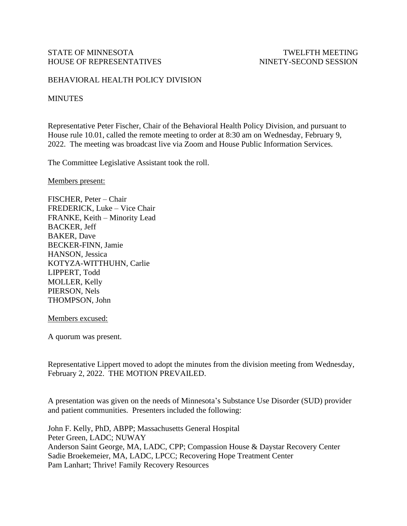## BEHAVIORAL HEALTH POLICY DIVISION

## **MINUTES**

Representative Peter Fischer, Chair of the Behavioral Health Policy Division, and pursuant to House rule 10.01, called the remote meeting to order at 8:30 am on Wednesday, February 9, 2022. The meeting was broadcast live via Zoom and House Public Information Services.

The Committee Legislative Assistant took the roll.

Members present:

FISCHER, Peter – Chair FREDERICK, Luke – Vice Chair FRANKE, Keith – Minority Lead BACKER, Jeff BAKER, Dave BECKER-FINN, Jamie HANSON, Jessica KOTYZA-WITTHUHN, Carlie LIPPERT, Todd MOLLER, Kelly PIERSON, Nels THOMPSON, John

Members excused:

A quorum was present.

Representative Lippert moved to adopt the minutes from the division meeting from Wednesday, February 2, 2022. THE MOTION PREVAILED.

A presentation was given on the needs of Minnesota's Substance Use Disorder (SUD) provider and patient communities. Presenters included the following:

John F. Kelly, PhD, ABPP; Massachusetts General Hospital Peter Green, LADC; NUWAY Anderson Saint George, MA, LADC, CPP; Compassion House & Daystar Recovery Center Sadie Broekemeier, MA, LADC, LPCC; Recovering Hope Treatment Center Pam Lanhart; Thrive! Family Recovery Resources